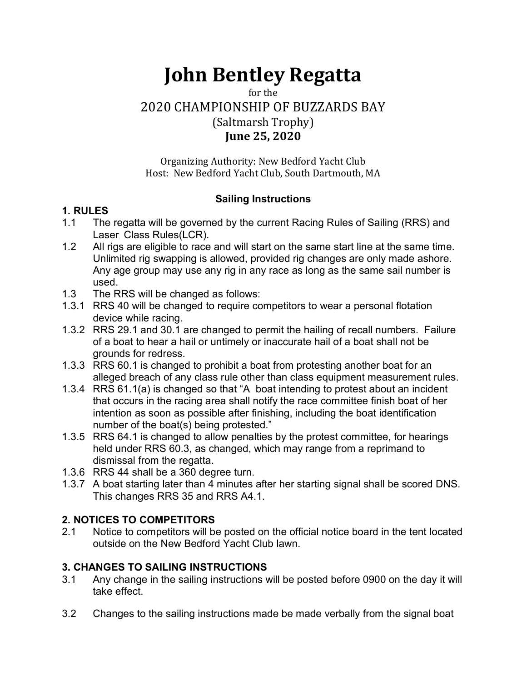# John Bentley Regatta

for the

2020 CHAMPIONSHIP OF BUZZARDS BAY

# (Saltmarsh Trophy)

# June 25, 2020

Organizing Authority: New Bedford Yacht Club Host: New Bedford Yacht Club, South Dartmouth, MA

# Sailing Instructions

# 1. RULES

- 1.1 The regatta will be governed by the current Racing Rules of Sailing (RRS) and Laser Class Rules(LCR).
- 1.2 All rigs are eligible to race and will start on the same start line at the same time. Unlimited rig swapping is allowed, provided rig changes are only made ashore. Any age group may use any rig in any race as long as the same sail number is used.
- 1.3 The RRS will be changed as follows:
- 1.3.1 RRS 40 will be changed to require competitors to wear a personal flotation device while racing.
- 1.3.2 RRS 29.1 and 30.1 are changed to permit the hailing of recall numbers. Failure of a boat to hear a hail or untimely or inaccurate hail of a boat shall not be grounds for redress.
- 1.3.3 RRS 60.1 is changed to prohibit a boat from protesting another boat for an alleged breach of any class rule other than class equipment measurement rules.
- 1.3.4 RRS 61.1(a) is changed so that "A boat intending to protest about an incident that occurs in the racing area shall notify the race committee finish boat of her intention as soon as possible after finishing, including the boat identification number of the boat(s) being protested."
- 1.3.5 RRS 64.1 is changed to allow penalties by the protest committee, for hearings held under RRS 60.3, as changed, which may range from a reprimand to dismissal from the regatta.
- 1.3.6 RRS 44 shall be a 360 degree turn.
- 1.3.7 A boat starting later than 4 minutes after her starting signal shall be scored DNS. This changes RRS 35 and RRS A4.1.

# 2. NOTICES TO COMPETITORS

2.1 Notice to competitors will be posted on the official notice board in the tent located outside on the New Bedford Yacht Club lawn.

# 3. CHANGES TO SAILING INSTRUCTIONS

- 3.1 Any change in the sailing instructions will be posted before 0900 on the day it will take effect.
- 3.2 Changes to the sailing instructions made be made verbally from the signal boat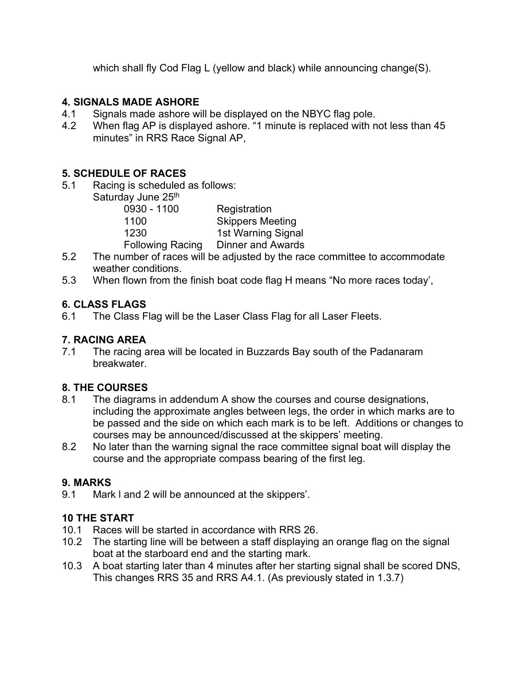which shall fly Cod Flag L (yellow and black) while announcing change(S).

#### 4. SIGNALS MADE ASHORE

- 4.1 Signals made ashore will be displayed on the NBYC flag pole.
- 4.2 When flag AP is displayed ashore. "1 minute is replaced with not less than 45 minutes" in RRS Race Signal AP,

# 5. SCHEDULE OF RACES

5.1 Racing is scheduled as follows: Saturday June 25<sup>th</sup>

| $S1$ and $S2$ and $S3$  |                          |
|-------------------------|--------------------------|
| 0930 - 1100             | Registration             |
| 1100                    | <b>Skippers Meeting</b>  |
| 1230                    | 1st Warning Signal       |
| <b>Following Racing</b> | <b>Dinner and Awards</b> |
|                         |                          |

- 5.2 The number of races will be adjusted by the race committee to accommodate weather conditions.
- 5.3 When flown from the finish boat code flag H means "No more races today',

# 6. CLASS FLAGS

6.1 The Class Flag will be the Laser Class Flag for all Laser Fleets.

#### 7. RACING AREA

7.1 The racing area will be located in Buzzards Bay south of the Padanaram breakwater.

# 8. THE COURSES

- 8.1 The diagrams in addendum A show the courses and course designations, including the approximate angles between legs, the order in which marks are to be passed and the side on which each mark is to be left. Additions or changes to courses may be announced/discussed at the skippers' meeting.
- 8.2 No later than the warning signal the race committee signal boat will display the course and the appropriate compass bearing of the first leg.

# 9. MARKS

9.1 Mark l and 2 will be announced at the skippers'.

# 10 THE START

- 10.1 Races will be started in accordance with RRS 26.
- 10.2 The starting line will be between a staff displaying an orange flag on the signal boat at the starboard end and the starting mark.
- 10.3 A boat starting later than 4 minutes after her starting signal shall be scored DNS, This changes RRS 35 and RRS A4.1. (As previously stated in 1.3.7)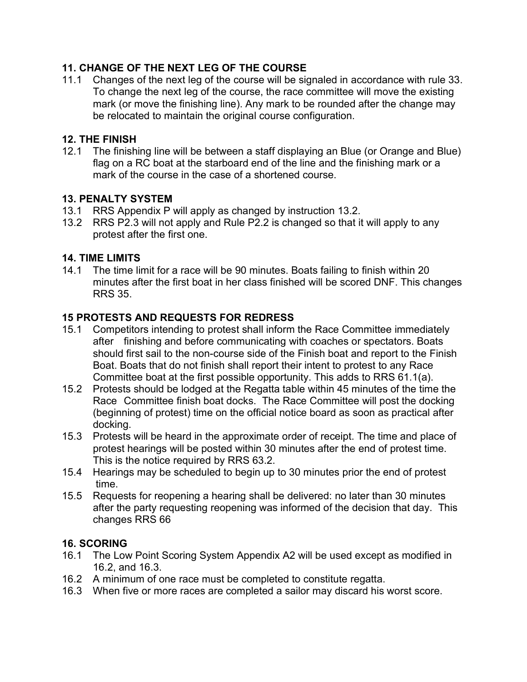#### 11. CHANGE OF THE NEXT LEG OF THE COURSE

11.1 Changes of the next leg of the course will be signaled in accordance with rule 33. To change the next leg of the course, the race committee will move the existing mark (or move the finishing line). Any mark to be rounded after the change may be relocated to maintain the original course configuration.

#### 12. THE FINISH

12.1 The finishing line will be between a staff displaying an Blue (or Orange and Blue) flag on a RC boat at the starboard end of the line and the finishing mark or a mark of the course in the case of a shortened course.

#### 13. PENALTY SYSTEM

- 13.1 RRS Appendix P will apply as changed by instruction 13.2.
- 13.2 RRS P2.3 will not apply and Rule P2.2 is changed so that it will apply to any protest after the first one.

#### 14. TIME LIMITS

14.1 The time limit for a race will be 90 minutes. Boats failing to finish within 20 minutes after the first boat in her class finished will be scored DNF. This changes RRS 35.

#### 15 PROTESTS AND REQUESTS FOR REDRESS

- 15.1 Competitors intending to protest shall inform the Race Committee immediately after finishing and before communicating with coaches or spectators. Boats should first sail to the non-course side of the Finish boat and report to the Finish Boat. Boats that do not finish shall report their intent to protest to any Race Committee boat at the first possible opportunity. This adds to RRS 61.1(a).
- 15.2 Protests should be lodged at the Regatta table within 45 minutes of the time the Race Committee finish boat docks. The Race Committee will post the docking (beginning of protest) time on the official notice board as soon as practical after docking.
- 15.3 Protests will be heard in the approximate order of receipt. The time and place of protest hearings will be posted within 30 minutes after the end of protest time. This is the notice required by RRS 63.2.
- 15.4 Hearings may be scheduled to begin up to 30 minutes prior the end of protest time.
- 15.5 Requests for reopening a hearing shall be delivered: no later than 30 minutes after the party requesting reopening was informed of the decision that day. This changes RRS 66

#### 16. SCORING

- 16.1 The Low Point Scoring System Appendix A2 will be used except as modified in 16.2, and 16.3.
- 16.2 A minimum of one race must be completed to constitute regatta.
- 16.3 When five or more races are completed a sailor may discard his worst score.